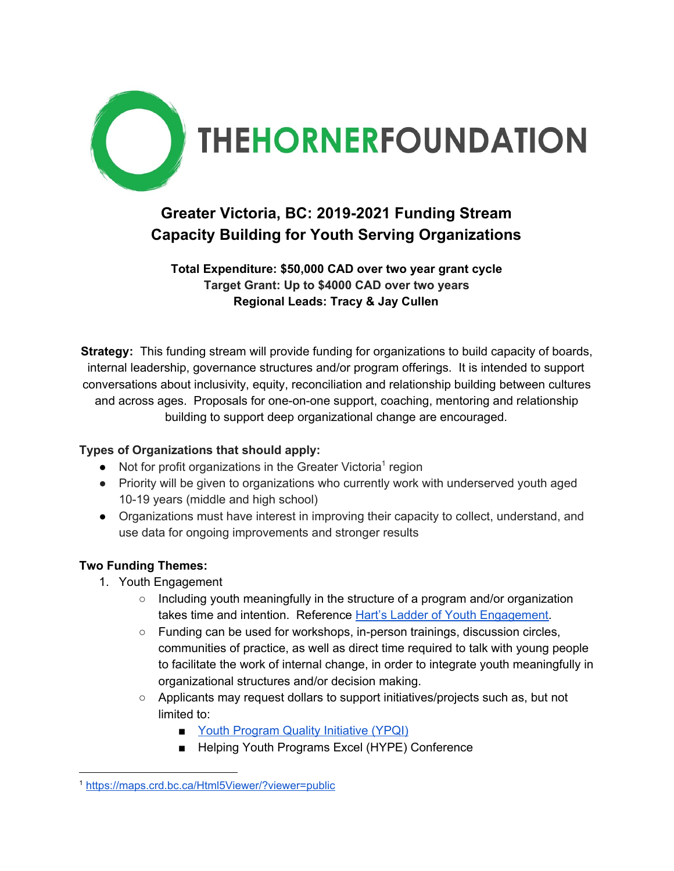

## **Greater Victoria, BC: 2019-2021 Funding Stream Capacity Building for Youth Serving Organizations**

## **Total Expenditure: \$50,000 CAD over two year grant cycle Target Grant: Up to \$4000 CAD over two years Regional Leads: Tracy & Jay Cullen**

**Strategy:** This funding stream will provide funding for organizations to build capacity of boards, internal leadership, governance structures and/or program offerings. It is intended to support conversations about inclusivity, equity, reconciliation and relationship building between cultures and across ages. Proposals for one-on-one support, coaching, mentoring and relationship building to support deep organizational change are encouraged.

## **Types of Organizations that should apply:**

- $\bullet$  Not for profit organizations in the Greater Victoria<sup>1</sup> region
- Priority will be given to organizations who currently work with underserved youth aged 10-19 years (middle and high school)
- Organizations must have interest in improving their capacity to collect, understand, and use data for ongoing improvements and stronger results

## **Two Funding Themes:**

- 1. Youth Engagement
	- Including youth meaningfully in the structure of a program and/or organization takes time and intention. Reference Hart's Ladder of Youth [Engagement.](https://ymhac.rnao.ca/sites/default/files/2016-10/Harts%20Laddar.pdf)
	- Funding can be used for workshops, in-person trainings, discussion circles, communities of practice, as well as direct time required to talk with young people to facilitate the work of internal change, in order to integrate youth meaningfully in organizational structures and/or decision making.
	- Applicants may request dollars to support initiatives/projects such as, but not limited to:
		- Youth [Program](http://www.communitycouncil.ca/What_is) Quality Initiative (YPQI)
		- Helping Youth Programs Excel (HYPE) Conference

<sup>1</sup> <https://maps.crd.bc.ca/Html5Viewer/?viewer=public>